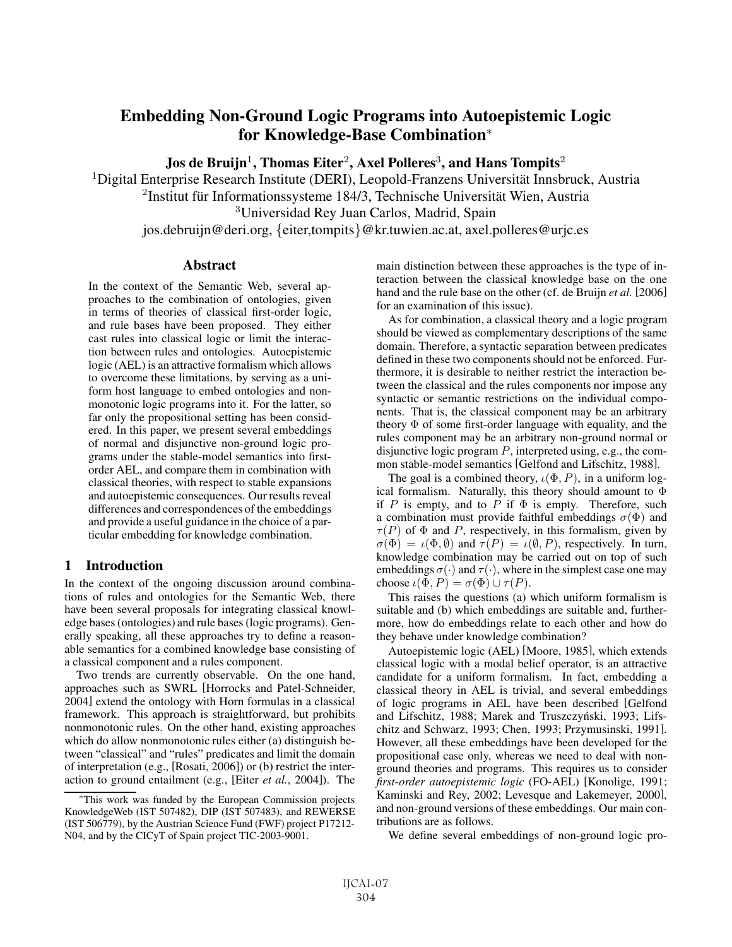# Embedding Non-Ground Logic Programs into Autoepistemic Logic for Knowledge-Base Combination<sup>∗</sup>

Jos de Bruijn<sup>1</sup>, Thomas Eiter<sup>2</sup>, Axel Polleres<sup>3</sup>, and Hans Tompits<sup>2</sup>

 $1$ Digital Enterprise Research Institute (DERI), Leopold-Franzens Universität Innsbruck, Austria  $2$ Institut für Informationssysteme 184/3, Technische Universität Wien, Austria <sup>3</sup>Universidad Rey Juan Carlos, Madrid, Spain

jos.debruijn@deri.org, {eiter,tompits}@kr.tuwien.ac.at, axel.polleres@urjc.es

## **Abstract**

In the context of the Semantic Web, several approaches to the combination of ontologies, given in terms of theories of classical first-order logic, and rule bases have been proposed. They either cast rules into classical logic or limit the interaction between rules and ontologies. Autoepistemic logic (AEL) is an attractive formalism which allows to overcome these limitations, by serving as a uniform host language to embed ontologies and nonmonotonic logic programs into it. For the latter, so far only the propositional setting has been considered. In this paper, we present several embeddings of normal and disjunctive non-ground logic programs under the stable-model semantics into firstorder AEL, and compare them in combination with classical theories, with respect to stable expansions and autoepistemic consequences. Our results reveal differences and correspondences of the embeddings and provide a useful guidance in the choice of a particular embedding for knowledge combination.

# 1 Introduction

In the context of the ongoing discussion around combinations of rules and ontologies for the Semantic Web, there have been several proposals for integrating classical knowledge bases (ontologies) and rule bases (logic programs). Generally speaking, all these approaches try to define a reasonable semantics for a combined knowledge base consisting of a classical component and a rules component.

Two trends are currently observable. On the one hand, approaches such as SWRL [Horrocks and Patel-Schneider, 2004] extend the ontology with Horn formulas in a classical framework. This approach is straightforward, but prohibits nonmonotonic rules. On the other hand, existing approaches which do allow nonmonotonic rules either (a) distinguish between "classical" and "rules" predicates and limit the domain of interpretation (e.g., [Rosati, 2006]) or (b) restrict the interaction to ground entailment (e.g., [Eiter *et al.*, 2004]). The main distinction between these approaches is the type of interaction between the classical knowledge base on the one hand and the rule base on the other (cf. de Bruijn *et al.* [2006] for an examination of this issue).

As for combination, a classical theory and a logic program should be viewed as complementary descriptions of the same domain. Therefore, a syntactic separation between predicates defined in these two components should not be enforced. Furthermore, it is desirable to neither restrict the interaction between the classical and the rules components nor impose any syntactic or semantic restrictions on the individual components. That is, the classical component may be an arbitrary theory  $\Phi$  of some first-order language with equality, and the rules component may be an arbitrary non-ground normal or disjunctive logic program  $P$ , interpreted using, e.g., the common stable-model semantics [Gelfond and Lifschitz, 1988].

The goal is a combined theory,  $\iota(\Phi, P)$ , in a uniform logical formalism. Naturally, this theory should amount to  $\Phi$ if P is empty, and to P if  $\Phi$  is empty. Therefore, such a combination must provide faithful embeddings  $\sigma(\Phi)$  and  $\tau(P)$  of  $\Phi$  and P, respectively, in this formalism, given by  $\sigma(\Phi) = \iota(\Phi, \emptyset)$  and  $\tau(P) = \iota(\emptyset, P)$ , respectively. In turn, knowledge combination may be carried out on top of such embeddings  $\sigma(\cdot)$  and  $\tau(\cdot)$ , where in the simplest case one may choose  $\iota(\Phi, P) = \sigma(\Phi) \cup \tau(P)$ .

This raises the questions (a) which uniform formalism is suitable and (b) which embeddings are suitable and, furthermore, how do embeddings relate to each other and how do they behave under knowledge combination?

Autoepistemic logic (AEL) [Moore, 1985], which extends classical logic with a modal belief operator, is an attractive candidate for a uniform formalism. In fact, embedding a classical theory in AEL is trivial, and several embeddings of logic programs in AEL have been described [Gelfond and Lifschitz, 1988; Marek and Truszczyński, 1993; Lifschitz and Schwarz, 1993; Chen, 1993; Przymusinski, 1991]. However, all these embeddings have been developed for the propositional case only, whereas we need to deal with nonground theories and programs. This requires us to consider *first-order autoepistemic logic* (FO-AEL) [Konolige, 1991; Kaminski and Rey, 2002; Levesque and Lakemeyer, 2000], and non-ground versions of these embeddings. Our main contributions are as follows.

We define several embeddings of non-ground logic pro-

<sup>∗</sup>This work was funded by the European Commission projects KnowledgeWeb (IST 507482), DIP (IST 507483), and REWERSE (IST 506779), by the Austrian Science Fund (FWF) project P17212- N04, and by the CICyT of Spain project TIC-2003-9001.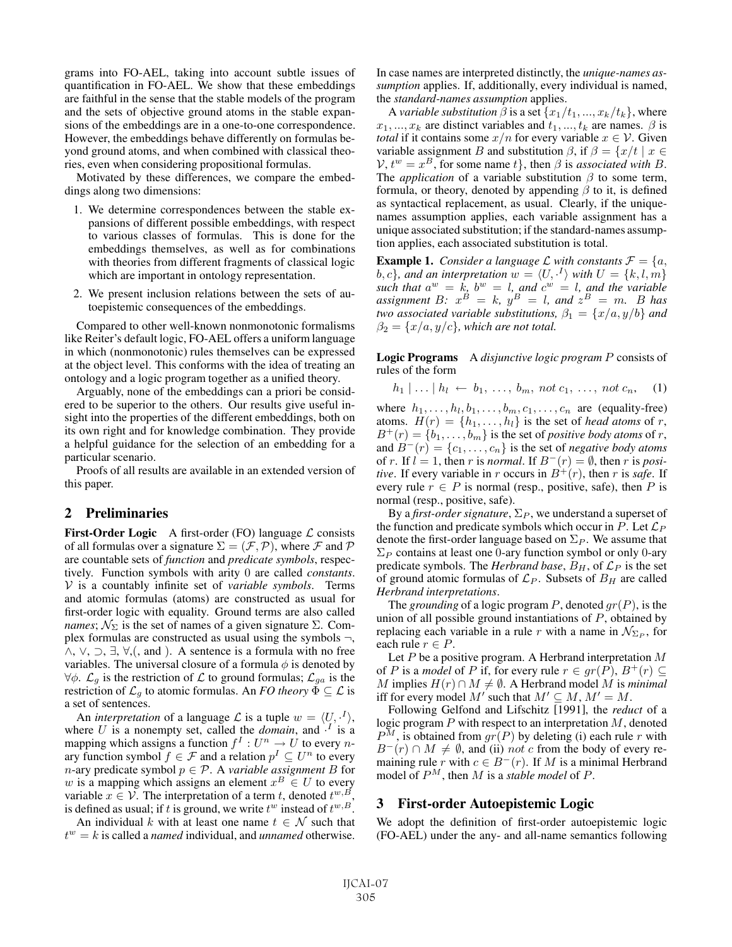grams into FO-AEL, taking into account subtle issues of quantification in FO-AEL. We show that these embeddings are faithful in the sense that the stable models of the program and the sets of objective ground atoms in the stable expansions of the embeddings are in a one-to-one correspondence. However, the embeddings behave differently on formulas beyond ground atoms, and when combined with classical theories, even when considering propositional formulas.

Motivated by these differences, we compare the embeddings along two dimensions:

- 1. We determine correspondences between the stable expansions of different possible embeddings, with respect to various classes of formulas. This is done for the embeddings themselves, as well as for combinations with theories from different fragments of classical logic which are important in ontology representation.
- 2. We present inclusion relations between the sets of autoepistemic consequences of the embeddings.

Compared to other well-known nonmonotonic formalisms like Reiter's default logic, FO-AEL offers a uniform language in which (nonmonotonic) rules themselves can be expressed at the object level. This conforms with the idea of treating an ontology and a logic program together as a unified theory.

Arguably, none of the embeddings can a priori be considered to be superior to the others. Our results give useful insight into the properties of the different embeddings, both on its own right and for knowledge combination. They provide a helpful guidance for the selection of an embedding for a particular scenario.

Proofs of all results are available in an extended version of this paper.

# 2 Preliminaries

First-Order Logic A first-order (FO) language  $\mathcal L$  consists of all formulas over a signature  $\Sigma=(\mathcal{F},\mathcal{P})$ , where  $\mathcal F$  and  $\mathcal P$ are countable sets of *function* and *predicate symbols*, respectively. Function symbols with arity 0 are called *constants*. V is a countably infinite set of *variable symbols*. Terms and atomic formulas (atoms) are constructed as usual for first-order logic with equality. Ground terms are also called *names*;  $\mathcal{N}_{\Sigma}$  is the set of names of a given signature  $\Sigma$ . Complex formulas are constructed as usual using the symbols  $\neg$ , ∧, ∨, ⊃, ∃, ∀,(, and ). A sentence is a formula with no free variables. The universal closure of a formula  $\phi$  is denoted by  $\forall \phi$ .  $\mathcal{L}_g$  is the restriction of  $\mathcal L$  to ground formulas;  $\mathcal{L}_{ga}$  is the restriction of  $\mathcal{L}_q$  to atomic formulas. An *FO theory*  $\overline{\Phi} \subseteq \mathcal{L}$  is a set of sentences.

An *interpretation* of a language  $\mathcal L$  is a tuple  $w = \langle U, \cdot^1 \rangle$ , here *U* is a nonempty set, called the *domain* and  $\cdot^I$  is a where U is a nonempty set, called the *domain*, and  $\cdot^{I}$  is a manning which assigns a function  $f^{I} : U^{n} \to U$  to every nmapping which assigns a function  $f^I : U^n \to U$  to every n-<br>ary function symbol  $f \in \mathcal{F}$  and a relation  $n^I \subset U^n$  to every ary function symbol  $f \in \mathcal{F}$  and a relation  $p^I \subseteq U^n$  to every n-ary predicate symbol  $n \in \mathcal{P}$ . A variable assignment B for *n*-ary predicate symbol  $p \in \mathcal{P}$ . A *variable assignment B* for *w* is a mapping which assigns an element  $x^B \in U$  to every w is a mapping which assigns an element  $x^B \in U$  to every<br>variable  $x \in V$ . The interpretation of a term t, denoted  $t^{w, B}$ . variable  $x \in \mathcal{V}$ . The interpretation of a term t, denoted  $t^{w, B}$ , is defined as usual: if t is ground, we write  $t^w$  instead of  $t^{w, B}$ . is defined as usual; if t is ground, we write  $t^w$  instead of  $t^{w, B}$ .

An individual k with at least one name  $t \in \mathcal{N}$  such that  $t^w = k$  is called a *named* individual, and *unnamed* otherwise. In case names are interpreted distinctly, the *unique-names assumption* applies. If, additionally, every individual is named, the *standard-names assumption* applies.

A *variable substitution*  $\beta$  is a set  $\{x_1/t_1, ..., x_k/t_k\}$ , where  $x_1, \ldots, x_k$  are distinct variables and  $t_1, \ldots, t_k$  are names.  $\beta$  is *total* if it contains some  $x/n$  for every variable  $x \in V$ . Given variable assignment B and substitution  $\beta$ , if  $\beta = \{x/t \mid x \in \mathbb{R}\}$  $V, t^w = x^B$ , for some name t}, then  $\beta$  is *associated with* B. The *application* of a variable substitution  $\beta$  to some term, formula, or theory, denoted by appending  $\beta$  to it, is defined as syntactical replacement, as usual. Clearly, if the uniquenames assumption applies, each variable assignment has a unique associated substitution; if the standard-names assumption applies, each associated substitution is total.

**Example 1.** *Consider a language*  $\mathcal L$  *with constants*  $\mathcal F = \{a, b, c\}$ *, and an interpretation*  $w = \langle U, \cdot^I \rangle$  *with*  $U = \{k, l, m\}$ b, c}, and an interpretation  $w = \langle U, \cdot^I \rangle$  with  $U = \{k, l, m\}$ <br>such that  $a^w = k$ ,  $b^w = l$ , and  $c^w = l$ , and the variable *such that*  $a^w = k$ ,  $b^w = l$ , and  $c^w = l$ , and the variable<br>*assignment*  $B \cdot x^B = k$ ,  $y^B = l$ , and  $z^B = m$ . B has *assignment*  $B: x^B = k$ ,  $y^B = l$ , and  $z^B = m$ . B has  $fw$  associated variable substitutions  $\beta_1 = \{x/a, y/b\}$  and *two associated variable substitutions,*  $\beta_1 = \{x/a, y/b\}$  *and*  $\beta_2 = \{x/a, y/c\}$ , which are not total.

Logic Programs <sup>A</sup> *disjunctive logic program* P consists of rules of the form

 $h_1 | ... | h_l \leftarrow b_1, ..., b_m, \text{not } c_1, ..., \text{not } c_n,$  (1)

where  $h_1, \ldots, h_l, b_1, \ldots, b_m, c_1, \ldots, c_n$  are (equality-free)<br>atoms  $H(r) = \{h_1, \ldots, h_l\}$  is the set of *head atoms* of r atoms.  $H(r) = \{h_1, \ldots, h_l\}$  is the set of *head atoms* of r,<br> $B^+(r) = \{h_1, \ldots, h_m\}$  is the set of *positive hody atoms* of r  $B^+(r) = \{b_1, \ldots, b_m\}$  is the set of *positive body atoms* of *r*, and  $B^-(r) = \{c_1, \ldots, c_n\}$  is the set of *negative body atoms* of r. If  $l = 1$ , then r is *normal*. If  $B^{-}(r) = \emptyset$ , then r is *positive*. If every variable in r occurs in  $B^{+}(r)$ , then r is *safe*. If every rule  $r \in P$  is normal (resp., positive, safe), then P is normal (resp., positive, safe).

By a *first-order signature*,  $\Sigma_P$ , we understand a superset of the function and predicate symbols which occur in P. Let  $\mathcal{L}_P$ denote the first-order language based on  $\Sigma_P$ . We assume that  $\Sigma_P$  contains at least one 0-ary function symbol or only 0-ary predicate symbols. The *Herbrand base*,  $B_H$ , of  $\mathcal{L}_P$  is the set of ground atomic formulas of  $\mathcal{L}_P$ . Subsets of  $B_H$  are called *Herbrand interpretations*.

The *grounding* of a logic program  $P$ , denoted  $gr(P)$ , is the union of all possible ground instantiations of  $P$ , obtained by replacing each variable in a rule r with a name in  $\mathcal{N}_{\Sigma_P}$ , for each rule  $r \in P$ .

Let  $P$  be a positive program. A Herbrand interpretation  $M$ of P is a *model* of P if, for every rule  $r \in gr(P)$ ,  $B^+(r) \subseteq$ *M* implies  $H(r) \cap M ≠ ∅$ . A Herbrand model M is *minimal* iff for every model M' such that  $M' \subseteq M$ ,  $M' = M$ .<br>Following Gelfond and Lifschitz [1991], the *redu* 

Following Gelfond and Lifschitz [1991], the *reduct* of a logic program  $P$  with respect to an interpretation  $M$ , denoted  $P^{M}$ , is obtained from  $gr(P)$  by deleting (i) each rule r with  $B^{-}(r) \cap M \neq \emptyset$ , and (ii) not c from the body of every remaining rule r with  $c \in B^-(r)$ . If M is a minimal Herbrand model of  $P^M$ , then M is a *stable model* of P.

## 3 First-order Autoepistemic Logic

We adopt the definition of first-order autoepistemic logic (FO-AEL) under the any- and all-name semantics following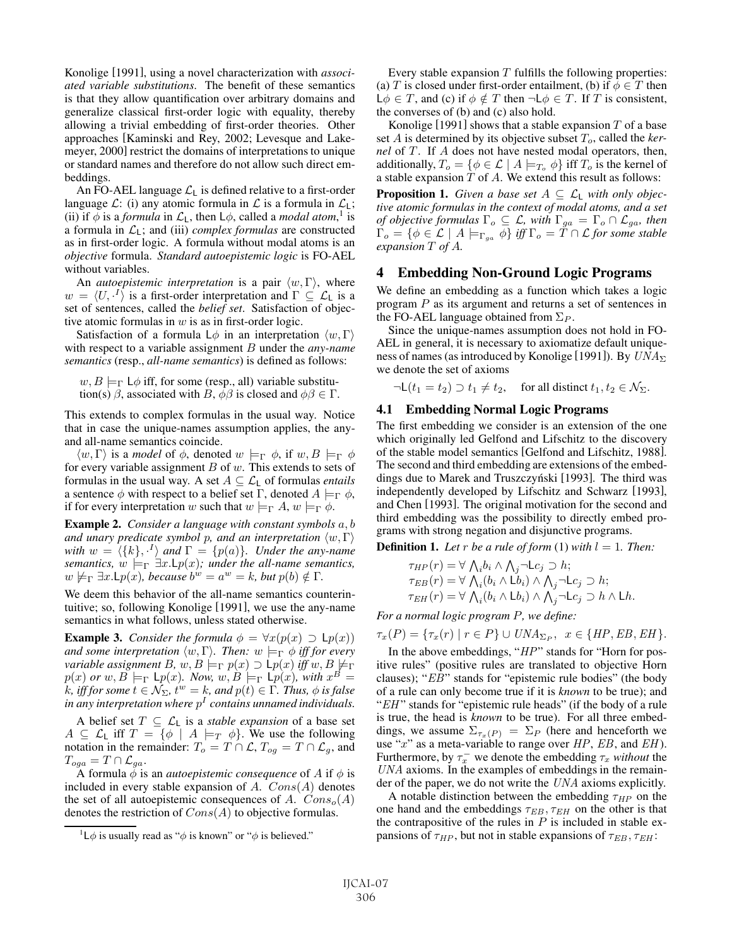Konolige [1991], using a novel characterization with *associated variable substitutions*. The benefit of these semantics is that they allow quantification over arbitrary domains and generalize classical first-order logic with equality, thereby allowing a trivial embedding of first-order theories. Other approaches [Kaminski and Rey, 2002; Levesque and Lakemeyer, 2000] restrict the domains of interpretations to unique or standard names and therefore do not allow such direct embeddings.

An FO-AEL language  $\mathcal{L}_L$  is defined relative to a first-order language  $\mathcal{L}$ : (i) any atomic formula in  $\mathcal{L}$  is a formula in  $\mathcal{L}_L$ ; (ii) if  $\phi$  is a *formula* in  $\mathcal{L}_L$ , then  $L\phi$ , called a *modal atom*,<sup>1</sup> is a formula in  $\mathcal{L}_L$  and (iii) *complex formulas* are constructed a formula in  $\mathcal{L}_L$ ; and (iii) *complex formulas* are constructed as in first-order logic. A formula without modal atoms is an *objective* formula. *Standard autoepistemic logic* is FO-AEL without variables.

An *autoepistemic interpretation* is a pair  $\langle w, \Gamma \rangle$ , where  $w = \langle U, \cdot^I \rangle$  is a first-order interpretation and  $\Gamma \subseteq \mathcal{L}_L$  is a set of sentences called the *belief set* Satisfaction of objecset of sentences, called the *belief set*. Satisfaction of objective atomic formulas in  $w$  is as in first-order logic.

Satisfaction of a formula  $L\phi$  in an interpretation  $\langle w, \Gamma \rangle$ with respect to a variable assignment B under the *any-name semantics* (resp., *all-name semantics*) is defined as follows:

 $w, B \models_{\Gamma} \mathsf{L}\phi$  iff, for some (resp., all) variable substitution(s)  $\beta$ , associated with B,  $\phi\beta$  is closed and  $\phi\beta \in \Gamma$ .

This extends to complex formulas in the usual way. Notice that in case the unique-names assumption applies, the anyand all-name semantics coincide.

 $\langle w, \Gamma \rangle$  is a *model* of  $\phi$ , denoted  $w \models_{\Gamma} \phi$ , if  $w, B \models_{\Gamma} \phi$ for every variable assignment  $B$  of  $w$ . This extends to sets of formulas in the usual way. A set  $A \subseteq \mathcal{L}_L$  of formulas *entails* a sentence  $\phi$  with respect to a belief set Γ, denoted  $A \models_{\Gamma} \phi$ , if for every interpretation w such that  $w \models_{\Gamma} A, w \models_{\Gamma} \phi$ .

Example 2. *Consider a language with constant symbols* a, b *and unary predicate symbol p, and an interpretation*  $\langle w, \Gamma \rangle$ with  $w = \langle \{k\}, \cdot^I \rangle$  and  $\Gamma = \{p(a)\}$ . Under the any-name<br>semantics  $w \models_{\Gamma} \exists x \mid p(x)$ ; under the all-name semantics *semantics,*  $w \models_{\Gamma} \exists x \cdot \mathsf{L}p(x)$ ; *under the all-name semantics,*  $w \not\models_{\Gamma} \exists x \iota \mathsf{L} p(x)$ *, because*  $b^w = a^w = k$ *, but*  $p(b) \notin \Gamma$ *.* 

We deem this behavior of the all-name semantics counterintuitive; so, following Konolige [1991], we use the any-name semantics in what follows, unless stated otherwise.

**Example 3.** *Consider the formula*  $\phi = \forall x (p(x) \supset \mathsf{L}p(x))$ *and some interpretation*  $\langle w, \Gamma \rangle$ *. Then:*  $w \models_{\Gamma} \phi$  *iff for every variable assignment* B, w,  $B \models_{\Gamma} p(x) \supset \mathsf{L} p(x)$  *iff* w,  $B \not\models_{\Gamma}$  $p(x)$  *or*  $w, B \models_{\Gamma} \mathsf{L}p(x)$ *. Now,*  $w, B \models_{\Gamma} \mathsf{L}p(x)$ *, with*  $x^B =$  $k$ , iff for some  $t \in \mathcal{N}_{\Sigma}$ ,  $t^w = k$ , and  $p(t) \in \Gamma$ . Thus,  $\phi$  is false<br>in any interpretation where  $n^I$  contains unnamed individuals *in any interpretation where*  $p<sup>I</sup>$  *contains unnamed individuals.* 

A belief set  $T \subseteq \mathcal{L}_L$  is a *stable expansion* of a base set  $A \subseteq \mathcal{L}_L$  iff  $T = {\phi \mid A \models_T \phi}$ . We use the following notation in the remainder:  $T_o = T \cap \mathcal{L}$ ,  $T_{og} = T \cap \mathcal{L}_g$ , and  $T_{oga} = T \cap \mathcal{L}_{ga}.$ 

A formula  $\phi$  is an *autoepistemic consequence* of A if  $\phi$  is included in every stable expansion of A.  $Cons(A)$  denotes the set of all autoepistemic consequences of A.  $Cons<sub>o</sub>(A)$ denotes the restriction of  $Cons(A)$  to objective formulas.

Every stable expansion  $T$  fulfills the following properties: (a) T is closed under first-order entailment, (b) if  $\phi \in T$  then  $L\phi \in T$ , and (c) if  $\phi \notin T$  then  $\neg L\phi \in T$ . If T is consistent, the converses of (b) and (c) also hold.

Konolige [1991] shows that a stable expansion  $T$  of a base set  $A$  is determined by its objective subset  $T<sub>o</sub>$ , called the *kernel* of T. If A does not have nested modal operators, then, additionally,  $T_o = \{ \phi \in \mathcal{L} \mid A \models_{T_o} \phi \}$  iff  $T_o$  is the kernel of a stable expansion  $T$  of  $A$ . We extend this result as follows:

**Proposition 1.** *Given a base set*  $A \subseteq \mathcal{L}_L$  *with only objective atomic formulas in the context of modal atoms, and a set of objective formulas* Γ<sub>o</sub> ⊆ *L*, with Γ<sub>ga</sub> = Γ<sub>o</sub> ∩ *L<sub>ga</sub>*, then  $\Gamma_o = \{ \phi \in \mathcal{L} \mid A \models_{\Gamma_{ga}} \phi \} \mathit{iff} \Gamma_o = T \cap \mathcal{L} \mathit{for some stable}$ <br>expansion  $T$  of  $A$ *expansion* T *of* A*.*

## 4 Embedding Non-Ground Logic Programs

We define an embedding as a function which takes a logic program P as its argument and returns a set of sentences in the FO-AEL language obtained from  $\Sigma_P$ .

Since the unique-names assumption does not hold in FO-AEL in general, it is necessary to axiomatize default uniqueness of names (as introduced by Konolige [1991]). By  $UNA_{\Sigma}$ we denote the set of axioms

 $\neg L(t_1 = t_2) \supset t_1 \neq t_2$ , for all distinct  $t_1, t_2 \in \mathcal{N}_{\Sigma}$ .

#### 4.1 Embedding Normal Logic Programs

The first embedding we consider is an extension of the one which originally led Gelfond and Lifschitz to the discovery of the stable model semantics [Gelfond and Lifschitz, 1988]. The second and third embedding are extensions of the embeddings due to Marek and Truszczyński [1993]. The third was independently developed by Lifschitz and Schwarz [1993], and Chen [1993]. The original motivation for the second and third embedding was the possibility to directly embed programs with strong negation and disjunctive programs.

**Definition 1.** Let r be a rule of form (1) with  $l = 1$ . Then:

$$
\tau_{HP}(r) = \forall \bigwedge_i b_i \land \bigwedge_j \neg \text{Lc}_j \supset h;
$$
  
\n
$$
\tau_{EB}(r) = \forall \bigwedge_i (b_i \land \text{L}b_i) \land \bigwedge_j \neg \text{Lc}_j \supset h;
$$
  
\n
$$
\tau_{EH}(r) = \forall \bigwedge_i (b_i \land \text{L}b_i) \land \bigwedge_j \neg \text{Lc}_j \supset h \land \text{L}h.
$$

*For a normal logic program* P*, we define:*

 $\tau_x(P) = {\tau_x(r) | r \in P} \cup UNA_{\Sigma_P}, x \in \{HP, EB, EH\}.$ 

In the above embeddings, "HP" stands for "Horn for positive rules" (positive rules are translated to objective Horn clauses); "EB" stands for "epistemic rule bodies" (the body of a rule can only become true if it is *known* to be true); and "EH" stands for "epistemic rule heads" (if the body of a rule is true, the head is *known* to be true). For all three embeddings, we assume  $\Sigma_{\tau_x(P)} = \Sigma_P$  (here and henceforth we use "x" as a meta-variable to range over  $HP$ ,  $EB$ , and  $EH$ ). Furthermore, by  $\tau_x^-$  we denote the embedding  $\tau_x$  *without* the *IINA* axioms. In the examples of embeddings in the remain-UNA axioms. In the examples of embeddings in the remainder of the paper, we do not write the UNA axioms explicitly.

A notable distinction between the embedding  $\tau_{HP}$  on the one hand and the embeddings  $\tau_{EB}, \tau_{EH}$  on the other is that the contrapositive of the rules in  $P$  is included in stable expansions of  $\tau_{HP}$ , but not in stable expansions of  $\tau_{EB}, \tau_{EH}$ :

<sup>&</sup>lt;sup>1</sup>L $\phi$  is usually read as " $\phi$  is known" or " $\phi$  is believed."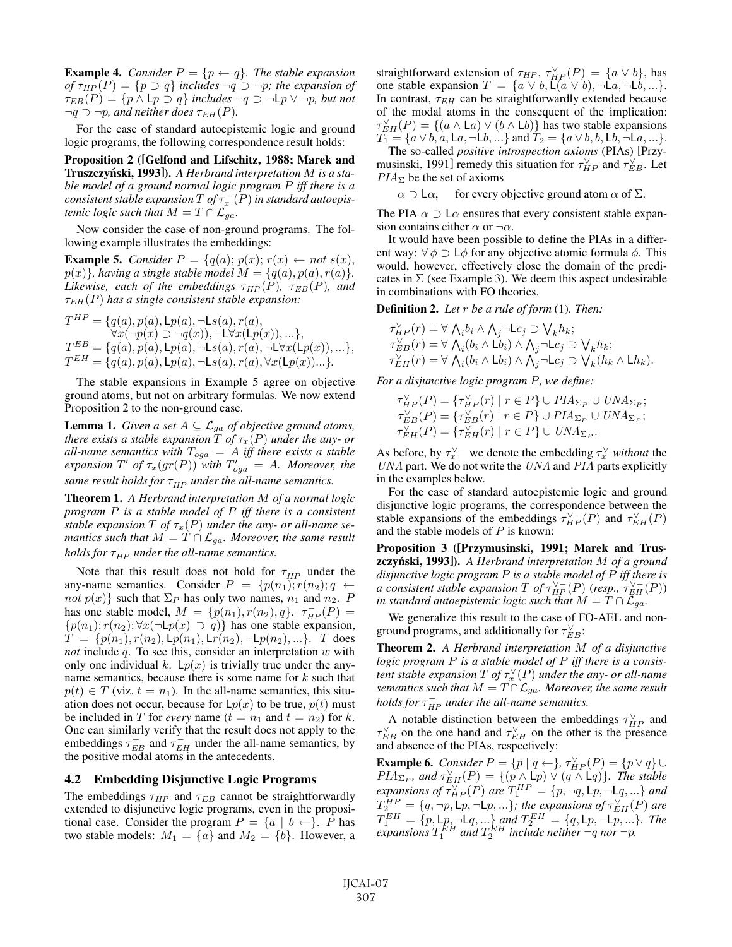**Example 4.** *Consider*  $P = \{p \leftarrow q\}$ *. The stable expansion of*  $\tau_{HP}(P) = \{p \supset q\}$  *includes*  $\neg q \supset \neg p$ *; the expansion of*  $\tau_{EB}(P) = \{p \wedge \mathsf{L}p \supset q\}$  *includes*  $\neg q \supset \neg \mathsf{L}p \vee \neg p$ *, but not*  $\neg q \supset \neg p$ *, and neither does*  $\tau_{EH}(P)$ *.* 

For the case of standard autoepistemic logic and ground logic programs, the following correspondence result holds:

Proposition 2 ([Gelfond and Lifschitz, 1988; Marek and Truszczyński, 1993]). A Herbrand interpretation M *is a stable model of a ground normal logic program* P *iff there is a consistent stable expansion*  $T$  *of*  $\tau_x^{-}(P)$  *in standard autoepistenic logic such that*  $M = T \cap C_{xx}$ *temic logic such that*  $M = T \cap \mathcal{L}_{ga}$ *.* 

Now consider the case of non-ground programs. The following example illustrates the embeddings:

**Example 5.** *Consider*  $P = \{q(a); p(x); r(x) \leftarrow not s(x),\}$  $p(x)$ *, having a single stable model*  $M = \{q(a), p(a), r(a)\}.$ *Likewise, each of the embeddings*  $\tau_{HP}(P)$ ,  $\tau_{EB}(P)$ , and  $\tau_{EH}(P)$  has a single consistent stable expansion:

$$
T^{HP} = \{q(a), p(a), \mathrm{L}p(a), \neg \mathrm{L}s(a), r(a),\forall x(\neg p(x) \supset \neg q(x)), \neg \mathrm{L} \forall x(\mathrm{L}p(x)),... \},T^{EB} = \{q(a), p(a), \mathrm{L}p(a), \neg \mathrm{L}s(a), r(a), \neg \mathrm{L} \forall x(\mathrm{L}p(x)),... \},T^{EH} = \{q(a), p(a), \mathrm{L}p(a), \neg \mathrm{L}s(a), r(a), \forall x(\mathrm{L}p(x))... \}.
$$

The stable expansions in Example 5 agree on objective ground atoms, but not on arbitrary formulas. We now extend Proposition 2 to the non-ground case.

**Lemma 1.** *Given a set*  $A \subseteq \mathcal{L}_{ga}$  *of objective ground atoms, there exists a stable expansion*  $T$  *of*  $\tau_x(P)$  *under the any- or all-name semantics with*  $T_{oga} = A$  *iff there exists a stable*  $\frac{expansion T'}{g f \tau_x(gr(P))}$  with  $T'_{oga} = A$ *. Moreover, the*  $\sum_{i=1}^{n}$  *same result holds for*  $\tau_{HP}$  *under the all-name semantics.* 

Theorem 1. *A Herbrand interpretation* M *of a normal logic program* P *is a stable model of* P *iff there is a consistent stable expansion*  $T$  *of*  $\tau_x(P)$  *under the any- or all-name semantics such that*  $M = T \cap \mathcal{L}_{ga}$ *. Moreover, the same result holds for*  $\tau_{HP}^-$  *under the all-name semantics.* 

Note that this result does not hold for  $\tau_{HP}^-$  under the v-name semantics Consider  $P = \{p(n_1), p(n_2), q \leftarrow \}$ any-name semantics. Consider  $P = \{p(n_1); r(n_2); q \leftarrow$ not  $p(x)$ } such that  $\Sigma_P$  has only two names,  $n_1$  and  $n_2$ . P has one stable model,  $M = \{p(n_1), r(n_2), q\}$ .  $\tau_{HP}^-(P) = \{p(n_1): r(n_2): \forall r(\neg p)(r) \supseteq q\}$  has one stable expansion  $\{p(n_1); r(n_2); \forall x(\neg \Box p(x) \supset q)\}\$  has one stable expansion,<br> $T = \{p(n_1), r(n_2), \Box p(n_3), \Box p(n_2), \Box p(n_3)\}$  T does  $\widetilde{T} = \{p(n_1), r(n_2), Lp(n_1), Lr(n_2), \neg Lp(n_2), ...\}$ . T does not include a To see this consider an interpretation w with *not* include q. To see this, consider an interpretation w with only one individual k.  $Lp(x)$  is trivially true under the anyname semantics, because there is some name for  $k$  such that  $p(t) \in T$  (viz.  $t = n_1$ ). In the all-name semantics, this situation does not occur, because for  $\mathsf{L}p(x)$  to be true,  $p(t)$  must be included in T for *every* name ( $t = n_1$  and  $t = n_2$ ) for k. One can similarly verify that the result does not apply to the embeddings  $\tau_{EB}$  and  $\tau_{EH}$  under the all-name semantics, by the nositive modal atoms in the antecedents the positive modal atoms in the antecedents.

#### 4.2 Embedding Disjunctive Logic Programs

The embeddings  $\tau_{HP}$  and  $\tau_{EB}$  cannot be straightforwardly extended to disjunctive logic programs, even in the propositional case. Consider the program  $P = \{a \mid b \leftarrow\}$ . P has two stable models:  $M_1 = \{a\}$  and  $M_2 = \{b\}$ . However, a

straightforward extension of  $\tau_{HP}$ ,  $\tau_{HP}^{\vee}(P) = \{a \vee b\}$ , has one stable expansion  $T = \{a \vee b \mid (a \vee b) \neg (a \neg (b))\}$ one stable expansion  $T = \{a \lor b, \overline{L}(a \lor b), \neg \overline{L}a, \neg \overline{L}b, ...\}.$ In contrast,  $\tau_{EH}$  can be straightforwardly extended because of the modal atoms in the consequent of the implication:  $\tau_{EH}^{\vee}(P) = \{ (a \wedge \text{L}a) \vee (b \wedge \text{L}b) \}$  has two stable expansions<br>  $T_1 = \{ a \vee b, a, \lfloor a, -1 \rfloor b \}$  and  $T_2 = \{ a \vee b, \lfloor b, -1 \rfloor a \}$  $T_1 = \{a \vee b, a, La, \neg \bot b, ...\}$  and  $T_2 = \{a \vee b, b, \bot b, \neg \bot a, ...\}$ .<br>The so-called *nositive introspection axioms* (PIAs) [Przy-

The so-called *positive introspection axioms* (PIAs) [Przymusinski, 1991] remedy this situation for  $\tau_{HP}^{\vee}$  and  $\tau_{EB}^{\vee}$ . Let  $PIA_{\Sigma}$  be the set of axioms  $PIA_{\Sigma}$  be the set of axioms

 $\alpha \supset \mathsf{L}\alpha$ , for every objective ground atom  $\alpha$  of  $\Sigma$ .

The PIA  $\alpha \supset \alpha$  ensures that every consistent stable expansion contains either  $\alpha$  or  $\neg \alpha$ .

It would have been possible to define the PIAs in a different way:  $\forall \phi \supset \mathsf{L}\phi$  for any objective atomic formula  $\phi$ . This would, however, effectively close the domain of the predicates in  $\Sigma$  (see Example 3). We deem this aspect undesirable in combinations with FO theories.

Definition 2. *Let* r *be a rule of form* (1)*. Then:*

$$
\begin{array}{l} \tau^{\vee}_{HP}(r) = \forall \ \bigwedge_i b_i \wedge \bigwedge_j \neg \mathsf{L} c_j \supset \bigvee_k h_k; \\ \tau^{\vee}_{EB}(r) = \forall \ \bigwedge_i (b_i \wedge \mathsf{L} b_i) \wedge \bigwedge_j \neg \mathsf{L} c_j \supset \bigvee_k h_k; \\ \tau^{\vee}_{EH}(r) = \forall \ \bigwedge_i (b_i \wedge \mathsf{L} b_i) \wedge \bigwedge_j \neg \mathsf{L} c_j \supset \bigvee_k (h_k \wedge \mathsf{L} h_k). \end{array}
$$

*For a disjunctive logic program* P*, we define:*

$$
\tau_{HP}^{\vee}(P) = \{\tau_{HP}^{\vee}(r) \mid r \in P\} \cup PIA_{\Sigma_P} \cup UNA_{\Sigma_P};
$$
  
\n
$$
\tau_{EB}^{\vee}(P) = \{\tau_{EB}^{\vee}(r) \mid r \in P\} \cup PIA_{\Sigma_P} \cup UNA_{\Sigma_P};
$$
  
\n
$$
\tau_{EH}^{\vee}(P) = \{\tau_{EH}^{\vee}(r) \mid r \in P\} \cup UNA_{\Sigma_P}.
$$

As before, by  $\tau_x^{\vee}$  we denote the embedding  $\tau_x^{\vee}$  *without* the *IINA* and *PIA* parts explicitly UNA part. We do not write the UNA and PIA parts explicitly in the examples below.

For the case of standard autoepistemic logic and ground disjunctive logic programs, the correspondence between the stable expansions of the embeddings  $\tau_{HP}^{\vee}(P)$  and  $\tau_{EH}^{\vee}(P)$ <br>and the stable models of P is known and the stable models of  $P$  is known:

Proposition 3 ([Przymusinski, 1991; Marek and Trus**zczyński, 1993**]). A Herbrand interpretation M of a ground *disjunctive logic program* P *is a stable model of* P *iff there is a* consistent stable expansion  $T$  of  $\tau_{HP}^{\vee -}(P)$  (*resp.,*  $\tau_{EH}^{\vee -}(P)$ )<br>in standard autoenistemic logic such that  $M = T \cap \mathcal{L}_{--}$ *in standard autoepistemic logic such that* <sup>M</sup> <sup>=</sup> <sup>T</sup> ∩ Lga*.*

We generalize this result to the case of FO-AEL and nonground programs, and additionally for  $\tau_{EB}^{\vee}$ :

Theorem 2. *A Herbrand interpretation* M *of a disjunctive logic program* P *is a stable model of* P *iff there is a consistent stable expansion*  $T$  *of*  $\tau_x^{\vee}(P)$  *under the any- or all-name*<br>*semantics such that*  $M = T \cap \mathcal{L}_{\tau}$ . Moreover the same result *semantics such that*  $M = T \cap \mathcal{L}_{ga}$ *. Moreover, the same result holds for*  $\tau_{HP}^-$  *under the all-name semantics.* 

A notable distinction between the embeddings  $\tau_{HP}^{\vee}$  and  $\tau_{HP}^{\vee}$  and and  $\tau_{HP}^{\vee}$  and the other is the presence  $\tau_{EB}^{\vee}$  on the one hand and  $\tau_{EH}^{\vee}$  on the other is the presence<br>and absence of the PIAs respectively: and absence of the PIAs, respectively:

**Example 6.** *Consider*  $P = \{p | q \leftarrow\}$ ,  $\tau_{HP}^{\vee}(P) = \{p \vee q\} \cup$ <br>PIA<sub>N</sub> and  $\tau_{\geq n}^{\vee}(P) = \{(p \wedge \lfloor p \rfloor) \vee (q \wedge \lfloor q \rfloor)\}$ . The stable  $PIA_{\Sigma_{P}}$ , and  $\tau_{EH}^{\vee}(P) = \{(p \wedge \mathsf{L}p) \vee (q \wedge \mathsf{L}q)\}$ . The stable<br>expansions of  $\tau^{\vee}(P)$  are  $T^{HP} = \{p \neg q \mid p \neg q \}$ , and *expansions of*  $\tau_{HP}^{\vee}(P)$  *are*  $T_1^{HP} = \{p, \neg q, \Box p, \neg \Box q, \Box \}$  *and*  $T^{HP} = \{q, \neg q, \Box p, \neg \Box q, \Box q\}$  $T_{P}^{HP} = \{q, \neg p, \text{L}p, \neg \text{L}p, \dots\};$  the expansions of  $\tau_{EH}^{V}(P)$  are<br> $T_{E}^{EH} = f \cdot \text{L}p, \text{L}p, \neg \text{L}q, \dots$  and  $T_{E}^{EH} = f \cdot \text{L}p, \text{L}p, \dots$ . The  $T_{\rm F}^{EH} = \{p, \text{L}p, \neg \text{L}q, ...\}$  and  $T_{\rm F}^{EH} = \{q, \text{L}p, \neg \text{L}p, ...\}$ . The<br>expansions  $T_{\rm F}^{EH}$  and  $T_{\rm F}^{EH}$  include neither  $\neg q$  nor  $\neg p$  $expansionsT_1^{EH}$  and  $T_2^{EH}$  include neither  $\neg q$  nor  $\neg p$ .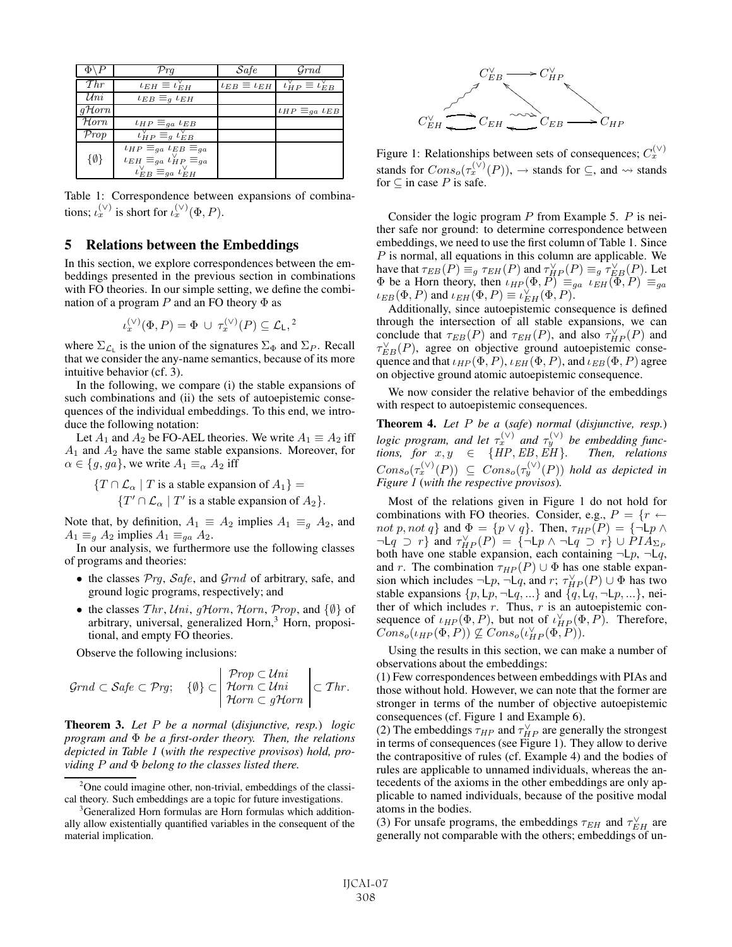|                    | $\mathcal{P}rq$                                                                                                                                                | $\mathcal{S}$ afe | $G\,md$                                                                     |
|--------------------|----------------------------------------------------------------------------------------------------------------------------------------------------------------|-------------------|-----------------------------------------------------------------------------|
| Thr                | $\iota_{EH} \equiv \iota_{EH}^{\vee}$                                                                                                                          |                   | $\iota_{EB} \equiv \iota_{EH}$ $\iota_{HP}^{\vee} \equiv \iota_{EB}^{\vee}$ |
| Uni                | $\iota_{EB} \equiv_q \iota_{EH}$                                                                                                                               |                   |                                                                             |
| $q\mathcal{H}$ orn |                                                                                                                                                                |                   | $\iota_{HP} \equiv_{qa} \iota_{EB}$                                         |
| $H$ orn            | $\iota_{HP} \equiv_{ga} \iota_{EB}$                                                                                                                            |                   |                                                                             |
| Prop               | $\iota_{HP}^{\vee} \equiv_g \iota_{EB}^{\vee}$                                                                                                                 |                   |                                                                             |
| {Ø}                | $\iota_{HP} \equiv_{qa} \iota_{EB} \equiv_{qa}$<br>$\iota_{EH} \equiv_{ga} \iota_{HP}^{\vee} \equiv_{ga}$<br>$\iota_{EB}^{\vee} \equiv_{ga} \iota_{EH}^{\vee}$ |                   |                                                                             |

Table 1: Correspondence between expansions of combinations;  $\iota_x^{(\vee)}$  is short for  $\iota_x^{(\vee)}(\Phi, P)$ .

#### 5 Relations between the Embeddings

In this section, we explore correspondences between the embeddings presented in the previous section in combinations with FO theories. In our simple setting, we define the combination of a program P and an FO theory  $\Phi$  as

$$
\iota_x^{(\vee)}(\Phi, P) = \Phi \cup \tau_x^{(\vee)}(P) \subseteq \mathcal{L}_\mathsf{L},^2
$$

where  $\Sigma_{\mathcal{L}_1}$  is the union of the signatures  $\Sigma_{\Phi}$  and  $\Sigma_P$ . Recall that we consider the any-name semantics, because of its more intuitive behavior (cf. 3).

In the following, we compare (i) the stable expansions of such combinations and (ii) the sets of autoepistemic consequences of the individual embeddings. To this end, we introduce the following notation:

Let  $A_1$  and  $A_2$  be FO-AEL theories. We write  $A_1 \equiv A_2$  iff  $A_1$  and  $A_2$  have the same stable expansions. Moreover, for  $\alpha \in \{g, ga\}$ , we write  $A_1 \equiv_{\alpha} A_2$  iff

 $\{T \cap \mathcal{L}_{\alpha} \mid T \text{ is a stable expansion of } A_1\} =$  $\{T' \cap \mathcal{L}_{\alpha} \mid T' \text{ is a stable expansion of } A_2\}.$ 

Note that, by definition,  $A_1 \equiv A_2$  implies  $A_1 \equiv_g A_2$ , and  $A_1 \equiv_g A_2$  implies  $A_1 \equiv_{ga} A_2$ .

In our analysis, we furthermore use the following classes of programs and theories:

- $\bullet$  the classes  $\mathcal{P}rq$ ,  $\mathcal{S}afe$ , and  $\mathcal{G}rnd$  of arbitrary, safe, and ground logic programs, respectively; and
- the classes  $Thr, Uni, qHorn, Horn, Prop, and \{\emptyset\}$  of arbitrary, universal, generalized Horn, $<sup>3</sup>$  Horn, proposi-</sup> tional, and empty FO theories.

Observe the following inclusions:

$$
\mathcal{G}rnd \subset \mathcal{S}afe \subset \mathcal{P}rg; \quad \{\emptyset\} \subset \left| \begin{array}{c} \mathcal{P}rop \subset Uni \\ \mathcal{H}orn \subset Uni \\ \mathcal{H}orn \subset g\mathcal{H}orn \end{array} \right| \subset \mathcal{T}hr.
$$

Theorem 3. *Let* P *be a normal* (*disjunctive, resp.*) *logic program and* Φ *be a first-order theory. Then, the relations depicted in Table 1* (*with the respective provisos*) *hold, providing* P *and* <sup>Φ</sup> *belong to the classes listed there.*



Figure 1: Relationships between sets of consequences;  $C_x^{(V)}$ stands for  $Cons_{o}(\tau_{x}^{(\vee)}(P))$ ,  $\rightarrow$  stands for  $\subseteq$ , and  $\rightsquigarrow$  stands for  $\subseteq$  in case  $P$  is safe for  $\subseteq$  in case  $P$  is safe.

Consider the logic program  $P$  from Example 5.  $P$  is neither safe nor ground: to determine correspondence between embeddings, we need to use the first column of Table 1. Since  $P$  is normal, all equations in this column are applicable. We P is normal, all equations in this column are applicable. We<br>have that  $\tau_{EP}(P) = \tau_{EH}(P)$  and  $\tau_{Y,D}^{\vee}(P) = \tau_{Y,D}^{\vee}(P)$ . Let have that  $\tau_{EB}(P) \equiv_g \tau_{EH}(P)$  and  $\tau_{HP}^{\vee}(P) \equiv_g \tau_{EB}^{\vee}(P)$ . Let  $\Phi$  be a Horn theory then  $L_{HB}(\Phi|P) \equiv_L L_{EH}(\Phi|P) \equiv_L L_{BB}(\Phi|P)$  $\Phi$  be a Horn theory, then  $\iota_{HP}(\Phi, P) \equiv_{ga} \iota_{EH}(\Phi, P) \equiv_{ga}$  $\iota_{EB}(\Phi, P)$  and  $\iota_{EH}(\Phi, P) \equiv \iota_{EH}^{\vee}(\Phi, P)$ .<br>Additionally since automistemic cons

Additionally, since autoepistemic consequence is defined through the intersection of all stable expansions, we can conclude that  $\tau_{EB}(P)$  and  $\tau_{EH}(P)$ , and also  $\tau_{HP}^{\vee}(P)$  and  $\tau_{HP}^{\vee}(P)$  are on objective ground autoenistemic conse- $\tau_{EB}^{\vee}(P)$ , agree on objective ground autoepistemic conse-<br>quence and that  $L_{UB}(\Phi, P)$   $L_{EH}(\Phi, P)$  and  $L_{EP}(\Phi, P)$  agree quence and that  $\iota_{HP}(\Phi, P)$ ,  $\iota_{EH}(\Phi, P)$ , and  $\iota_{EB}(\Phi, P)$  agree on objective ground atomic autoepistemic consequence.

We now consider the relative behavior of the embeddings with respect to autoepistemic consequences.

**Theorem 4.** Let P be a (*safe*) *normal* (*disjunctive, resp.*)<br>logic presents and let  $\mathbf{z}^{(V)}$  and  $\mathbf{z}^{(V)}$  be surhadding func*logic program, and let*  $\tau_x^{(\vee)}$  *and*  $\tau_y^{(\vee)}$  *be embedding functions* for  $x, y \in \{HP$  *FR FR FR FR Then relations tions, for*  $x, y \in \{HP, EB, EH\}$ . Then, relations  $G_{\text{true}}$  ( $\frac{(\vee)(P)}{P}$ )  $\subseteq G_{\text{true}}$  ( $\frac{(\vee)(P)}{P}$ ) kild as dwinted in  $Cons_o(\tau_x^{(\vee)}(P)) \subseteq Cons_o(\tau_y^{(\vee)}(P))$  *hold as depicted in Figure 1* (*with the respective provisos*).

Most of the relations given in Figure 1 do not hold for combinations with FO theories. Consider, e.g.,  $P = \{r \leftarrow$ combinations with FO theories. Consider, e.g.,  $P = \{r \leftarrow$ <br>not n not a) and  $\Phi = \{n \vee n\}$ . Then  $\tau_{ID}(P) = \{\neg \mid n \wedge$ not p, not q} and  $\Phi = \{p \lor q\}$ . Then,  $\tau_{HP}(P) = \{\neg \bot p \land \neg \bot q \supset r\}$  and  $\tau_{\infty}(P) = \{\neg \bot p \land \neg \bot q \supset r\} \sqcup PIA_{\Sigma}$  $\neg L_q \supseteq r$  and  $\tau_{HP}^{\vee}(P) = \{ \neg L_p \wedge \neg L_q \supseteq r \} \cup \overline{P} I \overline{A}_{\Sigma_P}$ <br>both have one stable expansion each containing  $\neg L_p \supseteq R$ both have one stable expansion, each containing  $\neg \Box p$ ,  $\neg \Box q$ , and r. The combination  $\tau_{HP}(P) \cup \Phi$  has one stable expansion which includes  $\neg Lp$ ,  $\neg Lq$ , and  $r$ ;  $\tau_{HP}^{\vee}(P) \cup \Phi$  has two stable expansions  $\{p \mid p \neg Lq \rightarrow \emptyset\}$  and  $\{q \mid q \neg Lp \rightarrow \emptyset\}$  neistable expansions  $\{p, \mathsf{L}p, \neg \mathsf{L}q, \ldots\}$  and  $\{q, \mathsf{L}q, \neg \mathsf{L}p, \ldots\}$ , neither of which includes  $r$ . Thus,  $r$  is an autoepistemic consequence of  $\iota_{HP}(\Phi, P)$ , but not of  $\iota_{HP}^{\vee}(\Phi, P)$ . Therefore,<br>Cons.  $(\iota_{HP}(\Phi, P)) \not\subset Cons.(\iota_{HP}^{\vee}(\Phi, P))$  $Cons_{o}(\iota_{HP}(\Phi, P)) \nsubseteq Cons_{o}(\iota_{HP}^{\vee}(\Phi, P)).$ 

Using the results in this section, we can make a number of observations about the embeddings:

(1) Few correspondences between embeddings with PIAs and those without hold. However, we can note that the former are stronger in terms of the number of objective autoepistemic consequences (cf. Figure 1 and Example 6).

(2) The embeddings  $\tau_{HP}$  and  $\tau_{HP}^{\vee}$  are generally the strongest in terms of consequences (see Figure 1). They allow to derive in terms of consequences (see Figure 1). They allow to derive the contrapositive of rules (cf. Example 4) and the bodies of rules are applicable to unnamed individuals, whereas the antecedents of the axioms in the other embeddings are only applicable to named individuals, because of the positive modal atoms in the bodies.

(3) For unsafe programs, the embeddings  $\tau_{EH}$  and  $\tau_{EH}^{\vee}$  are generally not comparable with the others: embeddings of ungenerally not comparable with the others; embeddings of un-

<sup>&</sup>lt;sup>2</sup>One could imagine other, non-trivial, embeddings of the classical theory. Such embeddings are a topic for future investigations.

<sup>&</sup>lt;sup>3</sup>Generalized Horn formulas are Horn formulas which additionally allow existentially quantified variables in the consequent of the material implication.